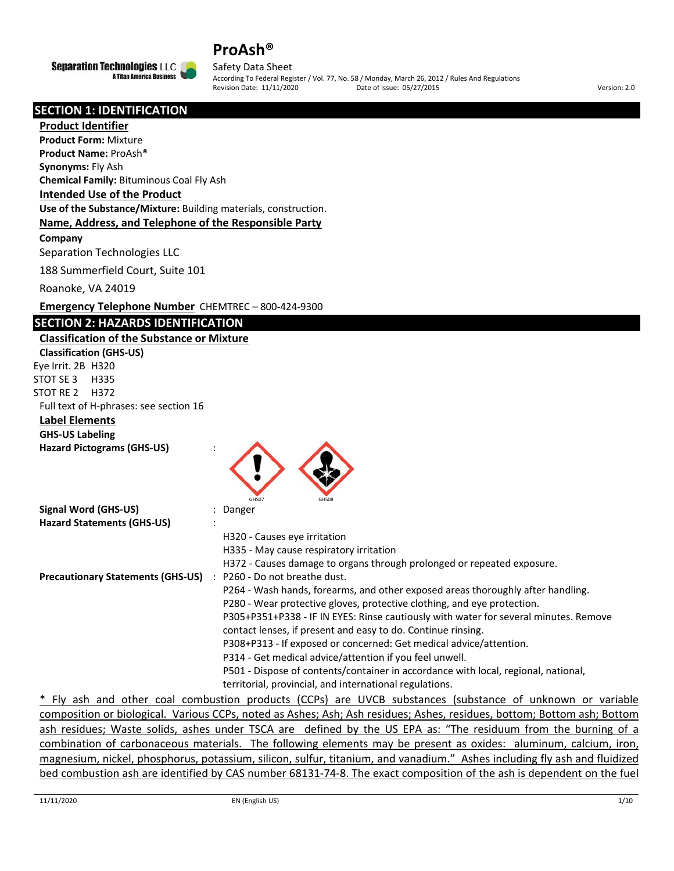



Safety Data Sheet According To Federal Register / Vol. 77, No. 58 / Monday, March 26, 2012 / Rules And Regulations Revision Date: 11/11/2020 Date of issue: 05/27/2015 Version: 2.0

### **SECTION 1: IDENTIFICATION**

#### **Product Identifier**

**Product Form:** Mixture

**Product Name:** ProAsh®

**Synonyms:** Fly Ash

**Chemical Family:** Bituminous Coal Fly Ash

#### **Intended Use of the Product**

**Use of the Substance/Mixture:** Building materials, construction.

#### **Name, Address, and Telephone of the Responsible Party**

**Company** 

Separation Technologies LLC

188 Summerfield Court, Suite 101

Roanoke, VA 24019

**Emergency Telephone Number** CHEMTREC – 800‐424‐9300

#### **SECTION 2: HAZARDS IDENTIFICATION**

**Classification of the Substance or Mixture Classification (GHS‐US)** Eye Irrit. 2B H320 STOT SE 3 H335 STOT RE 2 H372 Full text of H‐phrases: see section 16 **Label Elements GHS‐US Labeling**

| <b>Hazard Pictograms (GHS-US)</b> |  |
|-----------------------------------|--|
|                                   |  |



\* Fly ash and other coal combustion products (CCPs) are UVCB substances (substance of unknown or variable composition or biological. Various CCPs, noted as Ashes; Ash; Ash residues; Ashes, residues, bottom; Bottom ash; Bottom ash residues; Waste solids, ashes under TSCA are defined by the US EPA as: "The residuum from the burning of a combination of carbonaceous materials. The following elements may be present as oxides: aluminum, calcium, iron, magnesium, nickel, phosphorus, potassium, silicon, sulfur, titanium, and vanadium." Ashes including fly ash and fluidized bed combustion ash are identified by CAS number 68131‐74‐8. The exact composition of the ash is dependent on the fuel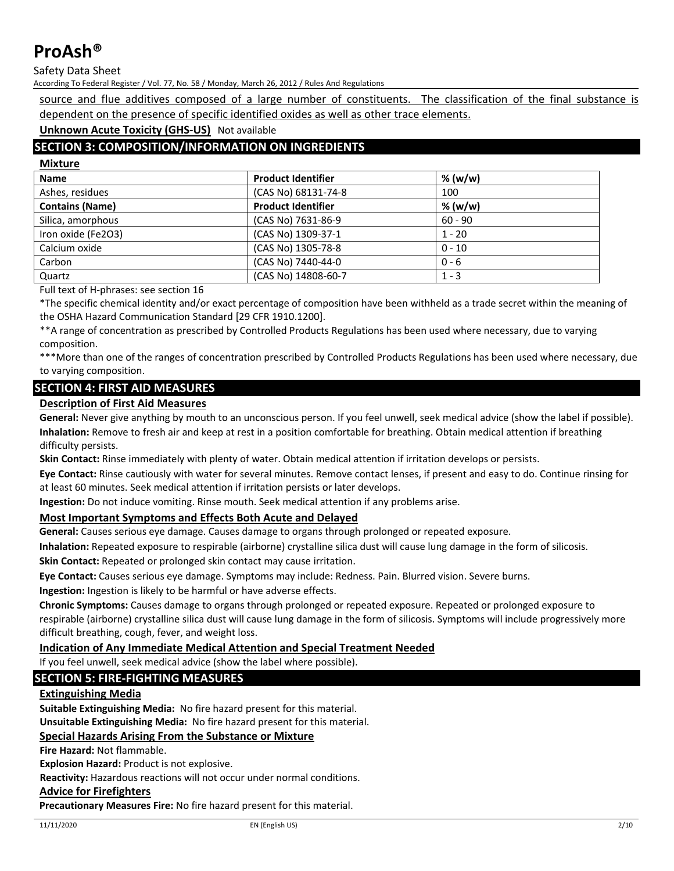**Mixture**

Safety Data Sheet

According To Federal Register / Vol. 77, No. 58 / Monday, March 26, 2012 / Rules And Regulations

source and flue additives composed of a large number of constituents. The classification of the final substance is dependent on the presence of specific identified oxides as well as other trace elements.

**Unknown Acute Toxicity (GHS‐US)** Not available

# **SECTION 3: COMPOSITION/INFORMATION ON INGREDIENTS**

| <b>Product Identifier</b> | % (w/w)   |
|---------------------------|-----------|
| (CAS No) 68131-74-8       | 100       |
| <b>Product Identifier</b> | % (w/w)   |
| (CAS No) 7631-86-9        | $60 - 90$ |
| (CAS No) 1309-37-1        | $1 - 20$  |
| (CAS No) 1305-78-8        | $0 - 10$  |
| (CAS No) 7440-44-0        | $0 - 6$   |
| (CAS No) 14808-60-7       | $1 - 3$   |
|                           |           |

Full text of H‐phrases: see section 16

\*The specific chemical identity and/or exact percentage of composition have been withheld as a trade secret within the meaning of the OSHA Hazard Communication Standard [29 CFR 1910.1200].

\*\*A range of concentration as prescribed by Controlled Products Regulations has been used where necessary, due to varying composition.

\*\*\*More than one of the ranges of concentration prescribed by Controlled Products Regulations has been used where necessary, due to varying composition.

### **SECTION 4: FIRST AID MEASURES**

### **Description of First Aid Measures**

**General:** Never give anything by mouth to an unconscious person. If you feel unwell, seek medical advice (show the label if possible). **Inhalation:** Remove to fresh air and keep at rest in a position comfortable for breathing. Obtain medical attention if breathing difficulty persists.

**Skin Contact:** Rinse immediately with plenty of water. Obtain medical attention if irritation develops or persists.

**Eye Contact:** Rinse cautiously with water for several minutes. Remove contact lenses, if present and easy to do. Continue rinsing for at least 60 minutes. Seek medical attention if irritation persists or later develops.

**Ingestion:** Do not induce vomiting. Rinse mouth. Seek medical attention if any problems arise.

#### **Most Important Symptoms and Effects Both Acute and Delayed**

**General:** Causes serious eye damage. Causes damage to organs through prolonged or repeated exposure.

**Inhalation:** Repeated exposure to respirable (airborne) crystalline silica dust will cause lung damage in the form of silicosis.

**Skin Contact:** Repeated or prolonged skin contact may cause irritation.

**Eye Contact:** Causes serious eye damage. Symptoms may include: Redness. Pain. Blurred vision. Severe burns.

**Ingestion:** Ingestion is likely to be harmful or have adverse effects.

**Chronic Symptoms:** Causes damage to organs through prolonged or repeated exposure. Repeated or prolonged exposure to respirable (airborne) crystalline silica dust will cause lung damage in the form of silicosis. Symptoms will include progressively more difficult breathing, cough, fever, and weight loss.

# **Indication of Any Immediate Medical Attention and Special Treatment Needed**

If you feel unwell, seek medical advice (show the label where possible).

### **SECTION 5: FIRE‐FIGHTING MEASURES**

#### **Extinguishing Media**

**Suitable Extinguishing Media:** No fire hazard present for this material.

**Unsuitable Extinguishing Media:** No fire hazard present for this material.

#### **Special Hazards Arising From the Substance or Mixture**

**Fire Hazard:** Not flammable.

**Explosion Hazard:** Product is not explosive.

**Reactivity:** Hazardous reactions will not occur under normal conditions.

#### **Advice for Firefighters**

**Precautionary Measures Fire:** No fire hazard present for this material.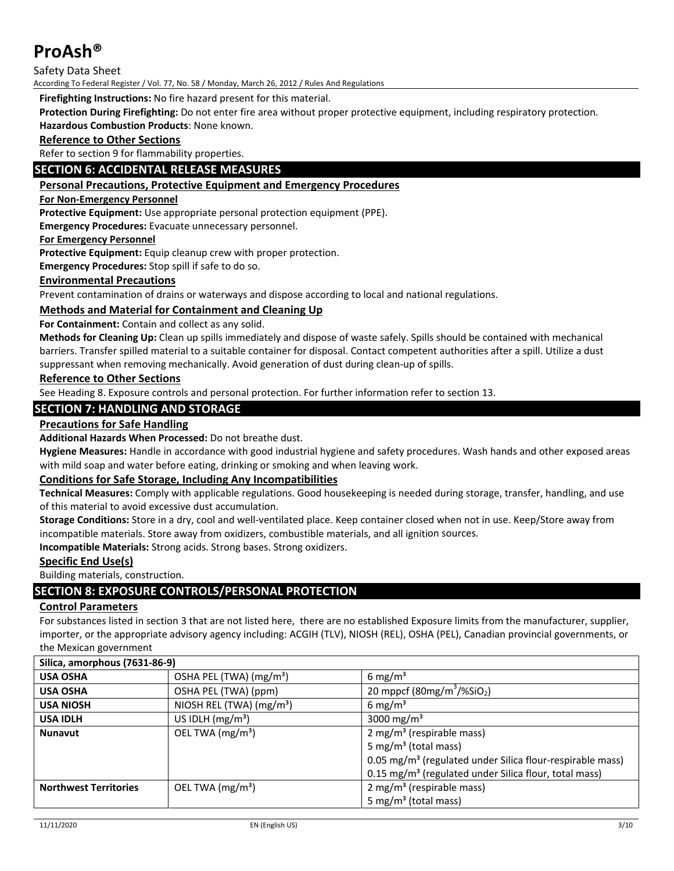Safety Data Sheet

According To Federal Register / Vol. 77, No. 58 / Monday, March 26, 2012 / Rules And Regulations

**Firefighting Instructions:** No fire hazard present for this material.

**Protection During Firefighting:** Do not enter fire area without proper protective equipment, including respiratory protection. **Hazardous Combustion Products**: None known.

#### **Reference to Other Sections**

Refer to section 9 for flammability properties.

## **SECTION 6: ACCIDENTAL RELEASE MEASURES**

#### **Personal Precautions, Protective Equipment and Emergency Procedures**

#### **For Non‐Emergency Personnel**

**Protective Equipment:** Use appropriate personal protection equipment (PPE).

**Emergency Procedures:** Evacuate unnecessary personnel.

#### **For Emergency Personnel**

**Protective Equipment:** Equip cleanup crew with proper protection.

**Emergency Procedures:** Stop spill if safe to do so.

#### **Environmental Precautions**

Prevent contamination of drains or waterways and dispose according to local and national regulations.

#### **Methods and Material for Containment and Cleaning Up**

**For Containment:** Contain and collect as any solid.

**Methods for Cleaning Up:** Clean up spills immediately and dispose of waste safely. Spills should be contained with mechanical barriers. Transfer spilled material to a suitable container for disposal. Contact competent authorities after a spill. Utilize a dust suppressant when removing mechanically. Avoid generation of dust during clean-up of spills.

#### **Reference to Other Sections**

See Heading 8. Exposure controls and personal protection. For further information refer to section 13.

#### **SECTION 7: HANDLING AND STORAGE**

#### **Precautions for Safe Handling**

**Additional Hazards When Processed:** Do not breathe dust.

**Hygiene Measures:** Handle in accordance with good industrial hygiene and safety procedures. Wash hands and other exposed areas with mild soap and water before eating, drinking or smoking and when leaving work.

#### **Conditions for Safe Storage, Including Any Incompatibilities**

**Technical Measures:** Comply with applicable regulations. Good housekeeping is needed during storage, transfer, handling, and use of this material to avoid excessive dust accumulation.

**Storage Conditions:** Store in a dry, cool and well‐ventilated place. Keep container closed when not in use. Keep/Store away from incompatible materials. Store away from oxidizers, combustible materials, and all ignition sources.

**Incompatible Materials:** Strong acids. Strong bases. Strong oxidizers.

#### **Specific End Use(s)**

Building materials, construction.

# **SECTION 8: EXPOSURE CONTROLS/PERSONAL PROTECTION**

#### **Control Parameters**

For substances listed in section 3 that are not listed here, there are no established Exposure limits from the manufacturer, supplier, importer, or the appropriate advisory agency including: ACGIH (TLV), NIOSH (REL), OSHA (PEL), Canadian provincial governments, or the Mexican government

| Silica, amorphous (7631-86-9) |                                      |                                                                                                                                                                                                                        |
|-------------------------------|--------------------------------------|------------------------------------------------------------------------------------------------------------------------------------------------------------------------------------------------------------------------|
| <b>USA OSHA</b>               | OSHA PEL (TWA) (mg/m <sup>3</sup> )  | 6 mg/m <sup>3</sup>                                                                                                                                                                                                    |
| <b>USA OSHA</b>               | OSHA PEL (TWA) (ppm)                 | 20 mppcf (80mg/m <sup>3</sup> /%SiO <sub>2</sub> )                                                                                                                                                                     |
| <b>USA NIOSH</b>              | NIOSH REL (TWA) (mg/m <sup>3</sup> ) | 6 mg/m <sup>3</sup>                                                                                                                                                                                                    |
| <b>USA IDLH</b>               | US IDLH $(mg/m3)$                    | 3000 mg/m <sup>3</sup>                                                                                                                                                                                                 |
| <b>Nunavut</b>                | OEL TWA (mg/m <sup>3</sup> )         | $2 \text{ mg/m}^3$ (respirable mass)<br>5 mg/m <sup>3</sup> (total mass)<br>0.05 mg/m <sup>3</sup> (regulated under Silica flour-respirable mass)<br>0.15 mg/m <sup>3</sup> (regulated under Silica flour, total mass) |
| <b>Northwest Territories</b>  | OEL TWA $(mg/m3)$                    | $2$ mg/m <sup>3</sup> (respirable mass)<br>5 mg/m <sup>3</sup> (total mass)                                                                                                                                            |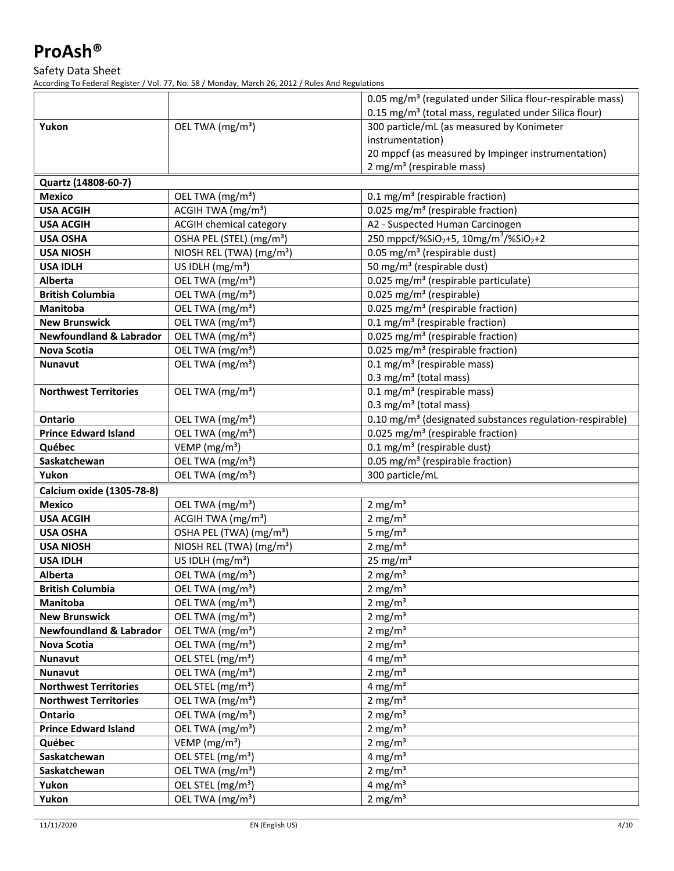Safety Data Sheet

According To Federal Register / Vol. 77, No. 58 / Monday, March 26, 2012 / Rules And Regulations

|                                    |                                      | 0.05 mg/m <sup>3</sup> (regulated under Silica flour-respirable mass)     |
|------------------------------------|--------------------------------------|---------------------------------------------------------------------------|
|                                    |                                      | 0.15 mg/m <sup>3</sup> (total mass, regulated under Silica flour)         |
| Yukon                              | OEL TWA (mg/m <sup>3</sup> )         | 300 particle/mL (as measured by Konimeter                                 |
|                                    |                                      | instrumentation)                                                          |
|                                    |                                      | 20 mppcf (as measured by Impinger instrumentation)                        |
|                                    |                                      | $2 \text{ mg/m}^3$ (respirable mass)                                      |
| Quartz (14808-60-7)                |                                      |                                                                           |
| <b>Mexico</b>                      | OEL TWA (mg/m <sup>3</sup> )         | 0.1 mg/m <sup>3</sup> (respirable fraction)                               |
| <b>USA ACGIH</b>                   | ACGIH TWA $(mg/m3)$                  | 0.025 mg/m <sup>3</sup> (respirable fraction)                             |
| <b>USA ACGIH</b>                   | <b>ACGIH chemical category</b>       | A2 - Suspected Human Carcinogen                                           |
| <b>USA OSHA</b>                    | OSHA PEL (STEL) (mg/m <sup>3</sup> ) | 250 mppcf/%SiO <sub>2</sub> +5, 10mg/m <sup>3</sup> /%SiO <sub>2</sub> +2 |
| <b>USA NIOSH</b>                   | NIOSH REL (TWA) (mg/m <sup>3</sup> ) | 0.05 mg/m <sup>3</sup> (respirable dust)                                  |
| <b>USA IDLH</b>                    | US IDLH (mg/m <sup>3</sup> )         | 50 mg/m <sup>3</sup> (respirable dust)                                    |
| Alberta                            | OEL TWA (mg/m <sup>3</sup> )         | 0.025 mg/m <sup>3</sup> (respirable particulate)                          |
| <b>British Columbia</b>            | OEL TWA (mg/m <sup>3</sup> )         | 0.025 mg/m <sup>3</sup> (respirable)                                      |
| <b>Manitoba</b>                    | OEL TWA (mg/m <sup>3</sup> )         | 0.025 mg/m <sup>3</sup> (respirable fraction)                             |
| <b>New Brunswick</b>               | OEL TWA (mg/m <sup>3</sup> )         | 0.1 mg/m <sup>3</sup> (respirable fraction)                               |
| <b>Newfoundland &amp; Labrador</b> | OEL TWA (mg/m <sup>3</sup> )         | 0.025 mg/m <sup>3</sup> (respirable fraction)                             |
| <b>Nova Scotia</b>                 | OEL TWA (mg/m <sup>3</sup> )         | 0.025 mg/m <sup>3</sup> (respirable fraction)                             |
| Nunavut                            | OEL TWA (mg/m <sup>3</sup> )         | $0.1 \text{ mg/m}^3$ (respirable mass)                                    |
|                                    |                                      | 0.3 mg/m <sup>3</sup> (total mass)                                        |
| <b>Northwest Territories</b>       | OEL TWA (mg/m <sup>3</sup> )         | $0.1 \text{ mg/m}^3$ (respirable mass)                                    |
|                                    |                                      | $0.3 \text{ mg/m}^3$ (total mass)                                         |
| <b>Ontario</b>                     | OEL TWA (mg/m <sup>3</sup> )         | 0.10 mg/m <sup>3</sup> (designated substances regulation-respirable)      |
| <b>Prince Edward Island</b>        | OEL TWA (mg/m <sup>3</sup> )         | 0.025 mg/m <sup>3</sup> (respirable fraction)                             |
| Québec                             | VEMP (mg/m <sup>3</sup> )            | 0.1 mg/m <sup>3</sup> (respirable dust)                                   |
| Saskatchewan                       | OEL TWA (mg/m <sup>3</sup> )         | 0.05 mg/m <sup>3</sup> (respirable fraction)                              |
| Yukon                              | OEL TWA (mg/m <sup>3</sup> )         | 300 particle/mL                                                           |
| Calcium oxide (1305-78-8)          |                                      |                                                                           |
| <b>Mexico</b>                      | OEL TWA (mg/m <sup>3</sup> )         | $2 \text{ mg/m}^3$                                                        |
| <b>USA ACGIH</b>                   | ACGIH TWA (mg/m <sup>3</sup> )       | $2 \text{ mg/m}^3$                                                        |
| <b>USA OSHA</b>                    | OSHA PEL (TWA) (mg/m <sup>3</sup> )  | 5 mg/ $m3$                                                                |
| <b>USA NIOSH</b>                   | NIOSH REL (TWA) (mg/m <sup>3</sup> ) | $2 \text{ mg/m}^3$                                                        |
| <b>USA IDLH</b>                    | US IDLH $(mg/m^3)$                   | $25 \text{ mg/m}^3$                                                       |
| Alberta                            | OEL TWA (mg/m <sup>3</sup> )         | $2 \text{ mg/m}^3$                                                        |
| <b>British Columbia</b>            | OEL TWA (mg/m <sup>3</sup> )         | 2 mg/m <sup>3</sup>                                                       |
| Manitoba                           | OEL TWA (mg/m <sup>3</sup> )         | 2 mg/ $m3$                                                                |
| <b>New Brunswick</b>               | OEL TWA (mg/m <sup>3</sup> )         | 2 mg/ $m3$                                                                |
| <b>Newfoundland &amp; Labrador</b> | OEL TWA (mg/m <sup>3</sup> )         | 2 mg/ $m3$                                                                |
| Nova Scotia                        | OEL TWA (mg/m <sup>3</sup> )         | 2 mg/ $m3$                                                                |
| Nunavut                            | OEL STEL (mg/m <sup>3</sup> )        | 4 mg/ $m3$                                                                |
| Nunavut                            | OEL TWA (mg/m <sup>3</sup> )         | 2 mg/ $m3$                                                                |
| <b>Northwest Territories</b>       | OEL STEL (mg/m <sup>3</sup> )        | 4 mg/ $m3$                                                                |
| <b>Northwest Territories</b>       | OEL TWA (mg/m <sup>3</sup> )         | 2 mg/ $m3$                                                                |
| <b>Ontario</b>                     | OEL TWA (mg/m <sup>3</sup> )         | 2 mg/ $m3$                                                                |
| <b>Prince Edward Island</b>        | OEL TWA (mg/m <sup>3</sup> )         | 2 mg/ $m3$                                                                |
| Québec                             | VEMP ( $mg/m3$ )                     | 2 mg/ $m3$                                                                |
| Saskatchewan                       | OEL STEL (mg/m <sup>3</sup> )        | 4 mg/ $m3$                                                                |
| Saskatchewan                       | OEL TWA (mg/m <sup>3</sup> )         | 2 mg/ $m3$                                                                |
| Yukon                              | OEL STEL (mg/m <sup>3</sup> )        | 4 mg/ $m3$                                                                |
| Yukon                              | OEL TWA (mg/m <sup>3</sup> )         | $2 \text{ mg/m}^3$                                                        |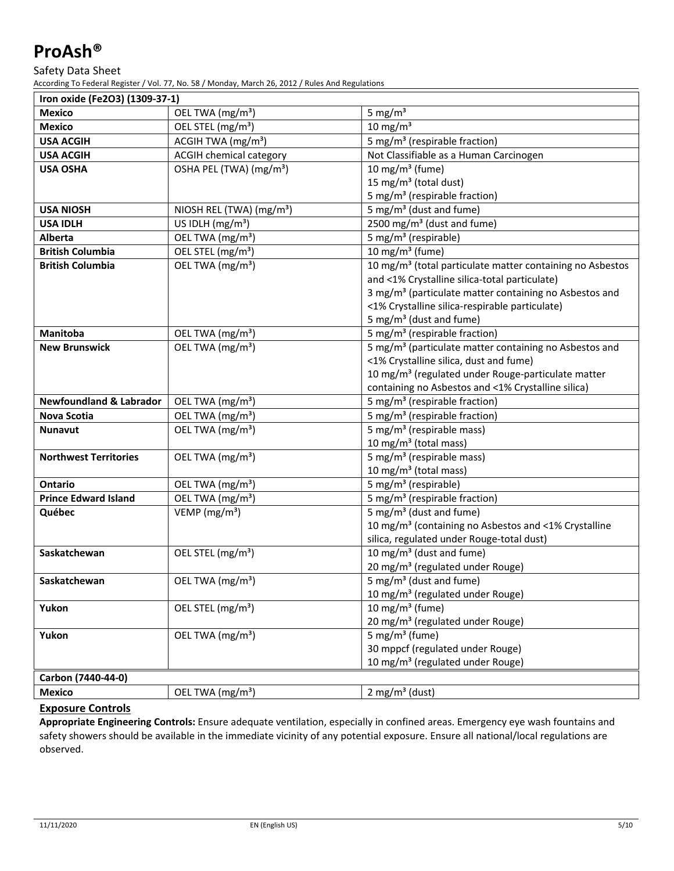#### Safety Data Sheet

According To Federal Register / Vol. 77, No. 58 / Monday, March 26, 2012 / Rules And Regulations

| Iron oxide (Fe2O3) (1309-37-1)     |                                                         |                                                                       |  |
|------------------------------------|---------------------------------------------------------|-----------------------------------------------------------------------|--|
| <b>Mexico</b>                      | OEL TWA (mg/m <sup>3</sup> )                            | 5 mg/ $m3$                                                            |  |
| <b>Mexico</b>                      | OEL STEL (mg/m <sup>3</sup> )                           | $10 \text{ mg/m}^3$                                                   |  |
| <b>USA ACGIH</b>                   | ACGIH TWA (mg/m <sup>3</sup> )                          | 5 mg/m <sup>3</sup> (respirable fraction)                             |  |
| <b>USA ACGIH</b>                   | <b>ACGIH chemical category</b>                          | Not Classifiable as a Human Carcinogen                                |  |
| <b>USA OSHA</b>                    | $\overline{\text{OSHA}}$ PEL (TWA) (mg/m <sup>3</sup> ) | 10 mg/m <sup>3</sup> (fume)                                           |  |
|                                    |                                                         | 15 mg/m <sup>3</sup> (total dust)                                     |  |
|                                    |                                                         | 5 mg/m <sup>3</sup> (respirable fraction)                             |  |
| <b>USA NIOSH</b>                   | NIOSH REL (TWA) ( $mg/m^3$ )                            | $\frac{1}{5}$ mg/m <sup>3</sup> (dust and fume)                       |  |
| <b>USA IDLH</b>                    | US IDLH $(mg/m3)$                                       | 2500 mg/m <sup>3</sup> (dust and fume)                                |  |
| Alberta                            | OEL TWA (mg/m <sup>3</sup> )                            | 5 mg/m <sup>3</sup> (respirable)                                      |  |
| <b>British Columbia</b>            | OEL STEL (mg/m <sup>3</sup> )                           | 10 mg/m $3$ (fume)                                                    |  |
| <b>British Columbia</b>            | OEL TWA (mg/m <sup>3</sup> )                            | 10 mg/m <sup>3</sup> (total particulate matter containing no Asbestos |  |
|                                    |                                                         | and <1% Crystalline silica-total particulate)                         |  |
|                                    |                                                         | 3 mg/m <sup>3</sup> (particulate matter containing no Asbestos and    |  |
|                                    |                                                         | <1% Crystalline silica-respirable particulate)                        |  |
|                                    |                                                         | 5 mg/m <sup>3</sup> (dust and fume)                                   |  |
| Manitoba                           | OEL TWA (mg/m <sup>3</sup> )                            | 5 mg/m <sup>3</sup> (respirable fraction)                             |  |
| <b>New Brunswick</b>               | OEL TWA (mg/m <sup>3</sup> )                            | 5 mg/m <sup>3</sup> (particulate matter containing no Asbestos and    |  |
|                                    |                                                         | <1% Crystalline silica, dust and fume)                                |  |
|                                    |                                                         | 10 mg/m <sup>3</sup> (regulated under Rouge-particulate matter        |  |
|                                    |                                                         | containing no Asbestos and <1% Crystalline silica)                    |  |
| <b>Newfoundland &amp; Labrador</b> | OEL TWA (mg/m <sup>3</sup> )                            | 5 mg/m <sup>3</sup> (respirable fraction)                             |  |
| <b>Nova Scotia</b>                 | OEL TWA (mg/m <sup>3</sup> )                            | 5 mg/m <sup>3</sup> (respirable fraction)                             |  |
| <b>Nunavut</b>                     | OEL TWA (mg/m <sup>3</sup> )                            | 5 mg/m <sup>3</sup> (respirable mass)                                 |  |
|                                    |                                                         | 10 mg/m <sup>3</sup> (total mass)                                     |  |
| <b>Northwest Territories</b>       | OEL TWA (mg/m <sup>3</sup> )                            | 5 mg/m <sup>3</sup> (respirable mass)                                 |  |
|                                    |                                                         | 10 mg/m $3$ (total mass)                                              |  |
| <b>Ontario</b>                     | OEL TWA (mg/m <sup>3</sup> )                            | 5 mg/m <sup>3</sup> (respirable)                                      |  |
| <b>Prince Edward Island</b>        | OEL TWA $(mg/m3)$                                       | 5 mg/m <sup>3</sup> (respirable fraction)                             |  |
| Québec                             | VEMP ( $mg/m3$ )                                        | 5 mg/m <sup>3</sup> (dust and fume)                                   |  |
|                                    |                                                         | 10 mg/m <sup>3</sup> (containing no Asbestos and <1% Crystalline      |  |
|                                    |                                                         | silica, regulated under Rouge-total dust)                             |  |
| Saskatchewan                       | OEL STEL (mg/m <sup>3</sup> )                           | 10 mg/m <sup>3</sup> (dust and fume)                                  |  |
|                                    |                                                         | 20 mg/m <sup>3</sup> (regulated under Rouge)                          |  |
| Saskatchewan                       | OEL TWA (mg/m <sup>3</sup> )                            | 5 mg/m <sup>3</sup> (dust and fume)                                   |  |
|                                    |                                                         | 10 mg/m <sup>3</sup> (regulated under Rouge)                          |  |
| Yukon                              | OEL STEL (mg/m <sup>3</sup> )                           | $\overline{10}$ mg/m <sup>3</sup> (fume)                              |  |
|                                    |                                                         | 20 mg/m <sup>3</sup> (regulated under Rouge)                          |  |
| Yukon                              | OEL TWA (mg/m <sup>3</sup> )                            | 5 mg/m <sup>3</sup> (fume)                                            |  |
|                                    |                                                         | 30 mppcf (regulated under Rouge)                                      |  |
|                                    |                                                         | 10 mg/m <sup>3</sup> (regulated under Rouge)                          |  |
| Carbon (7440-44-0)                 |                                                         |                                                                       |  |
| <b>Mexico</b>                      | OEL TWA (mg/m <sup>3</sup> )                            | $2$ mg/m <sup>3</sup> (dust)                                          |  |

# **Exposure Controls**

**Appropriate Engineering Controls:** Ensure adequate ventilation, especially in confined areas. Emergency eye wash fountains and safety showers should be available in the immediate vicinity of any potential exposure. Ensure all national/local regulations are observed.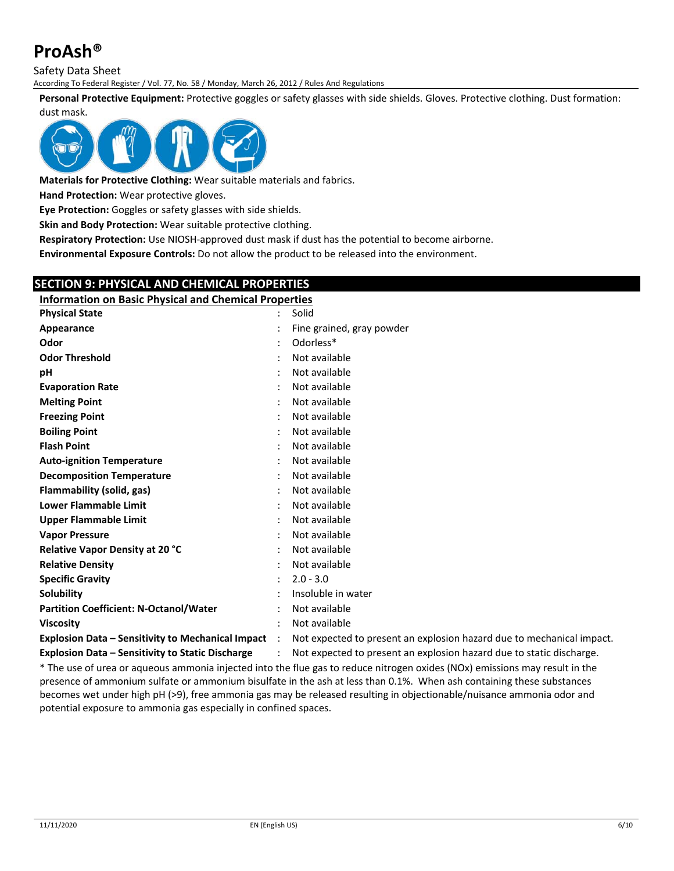Safety Data Sheet

According To Federal Register / Vol. 77, No. 58 / Monday, March 26, 2012 / Rules And Regulations

**Personal Protective Equipment:** Protective goggles or safety glasses with side shields. Gloves. Protective clothing. Dust formation: dust mask.



**Materials for Protective Clothing:** Wear suitable materials and fabrics.

**Hand Protection:** Wear protective gloves.

**Eye Protection:** Goggles or safety glasses with side shields.

**Skin and Body Protection:** Wear suitable protective clothing.

**Respiratory Protection:** Use NIOSH‐approved dust mask if dust has the potential to become airborne.

**Environmental Exposure Controls:** Do not allow the product to be released into the environment.

**SECTION 9: PHYSICAL AND CHEMICAL PROPERTIES Information on Basic Physical and Chemical Properties Physical State** : Solid **Appearance in the set of the grained, gray powder : Fine grained, gray powder Odor** : Odorless\* **Odor Threshold** : Not available **pH** : Not available **Evaporation Rate by a state of the Evaporation Rate Melting Point** : Not available **Freezing Point Contract Except :** Not available **Boiling Point** : Not available **Flash Point** : Not available **Auto‐ignition Temperature** : Not available **Decomposition Temperature** : Not available **Flammability (solid, gas)** : Not available **Lower Flammable Limit** : Not available **Upper Flammable Limit Constanting the Constanting Constanting Constanting Constanting Constanting Constanting Constanting Constanting Constanting Constanting Constanting Constanting Constanting Constanting Constanting C Vapor Pressure** : Not available **Relative Vapor Density at 20 °C** : Not available **Relative Density** : Not available **Specific Gravity** : 2.0 ‐ 3.0 **Solubility Solubility :** Insoluble in water **Partition Coefficient: N‐Octanol/Water** : Not available **Viscosity** : Not available **Explosion Data – Sensitivity to Mechanical Impact** : Not expected to present an explosion hazard due to mechanical impact. **Explosion Data – Sensitivity to Static Discharge** : Not expected to present an explosion hazard due to static discharge.

\* The use of urea or aqueous ammonia injected into the flue gas to reduce nitrogen oxides (NOx) emissions may result in the presence of ammonium sulfate or ammonium bisulfate in the ash at less than 0.1%. When ash containing these substances becomes wet under high pH (>9), free ammonia gas may be released resulting in objectionable/nuisance ammonia odor and

potential exposure to ammonia gas especially in confined spaces.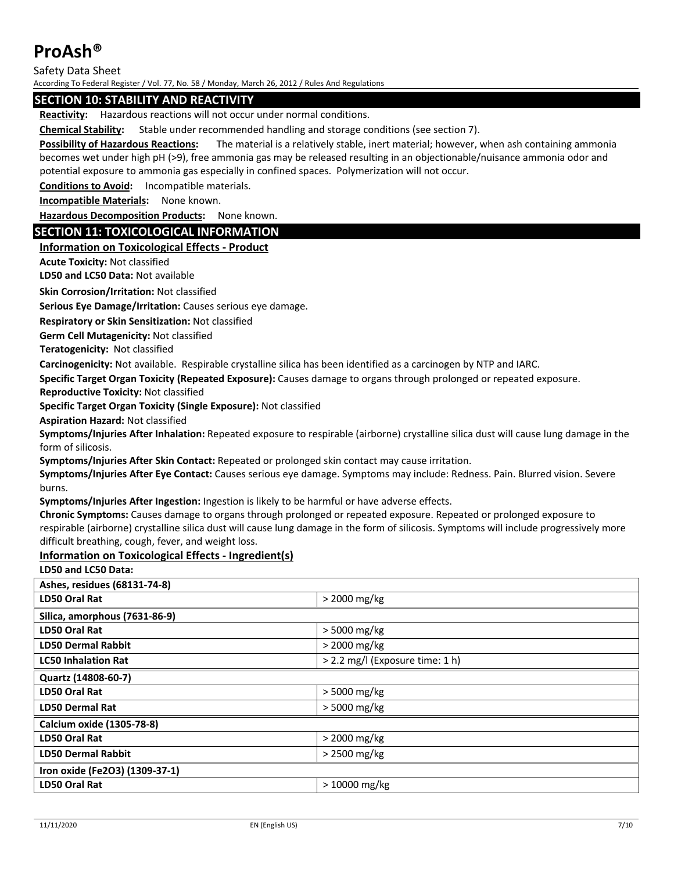Safety Data Sheet

According To Federal Register / Vol. 77, No. 58 / Monday, March 26, 2012 / Rules And Regulations

### **SECTION 10: STABILITY AND REACTIVITY**

**Reactivity:** Hazardous reactions will not occur under normal conditions.

**Chemical Stability:** Stable under recommended handling and storage conditions (see section 7).

**Possibility of Hazardous Reactions:** The material is a relatively stable, inert material; however, when ash containing ammonia becomes wet under high pH (>9), free ammonia gas may be released resulting in an objectionable/nuisance ammonia odor and potential exposure to ammonia gas especially in confined spaces. Polymerization will not occur.

**Conditions to Avoid:** Incompatible materials.

**Incompatible Materials:** None known.

**Hazardous Decomposition Products:** None known.

### **SECTION 11: TOXICOLOGICAL INFORMATION**

### **Information on Toxicological Effects ‐ Product**

**Acute Toxicity:** Not classified

**LD50 and LC50 Data:** Not available

**Skin Corrosion/Irritation:** Not classified

**Serious Eye Damage/Irritation:** Causes serious eye damage.

**Respiratory or Skin Sensitization:** Not classified

**Germ Cell Mutagenicity:** Not classified

**Teratogenicity:** Not classified

**Carcinogenicity:** Not available. Respirable crystalline silica has been identified as a carcinogen by NTP and IARC.

**Specific Target Organ Toxicity (Repeated Exposure):** Causes damage to organs through prolonged or repeated exposure.

**Reproductive Toxicity:** Not classified

**Specific Target Organ Toxicity (Single Exposure):** Not classified

**Aspiration Hazard:** Not classified

**Symptoms/Injuries After Inhalation:** Repeated exposure to respirable (airborne) crystalline silica dust will cause lung damage in the form of silicosis.

**Symptoms/Injuries After Skin Contact:** Repeated or prolonged skin contact may cause irritation.

**Symptoms/Injuries After Eye Contact:** Causes serious eye damage. Symptoms may include: Redness. Pain. Blurred vision. Severe burns.

**Symptoms/Injuries After Ingestion:** Ingestion is likely to be harmful or have adverse effects.

**Chronic Symptoms:** Causes damage to organs through prolonged or repeated exposure. Repeated or prolonged exposure to respirable (airborne) crystalline silica dust will cause lung damage in the form of silicosis. Symptoms will include progressively more difficult breathing, cough, fever, and weight loss.

#### **Information on Toxicological Effects ‐ Ingredient(s)**

**LD50 and LC50 Data:**

| Ashes, residues (68131-74-8)   |                                 |  |
|--------------------------------|---------------------------------|--|
| LD50 Oral Rat                  | > 2000 mg/kg                    |  |
| Silica, amorphous (7631-86-9)  |                                 |  |
| LD50 Oral Rat                  | > 5000 mg/kg                    |  |
| <b>LD50 Dermal Rabbit</b>      | $>$ 2000 mg/kg                  |  |
| <b>LC50 Inhalation Rat</b>     | > 2.2 mg/l (Exposure time: 1 h) |  |
| Quartz (14808-60-7)            |                                 |  |
| LD50 Oral Rat                  | > 5000 mg/kg                    |  |
| <b>LD50 Dermal Rat</b>         | > 5000 mg/kg                    |  |
| Calcium oxide (1305-78-8)      |                                 |  |
| LD50 Oral Rat                  | > 2000 mg/kg                    |  |
| <b>LD50 Dermal Rabbit</b>      | > 2500 mg/kg                    |  |
| Iron oxide (Fe2O3) (1309-37-1) |                                 |  |
| LD50 Oral Rat                  | $>10000$ mg/kg                  |  |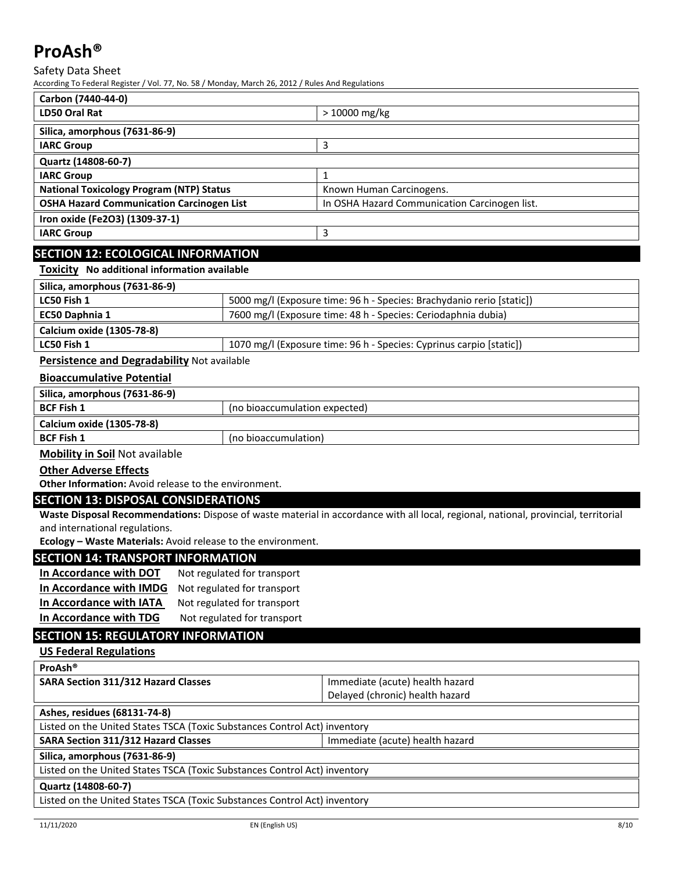Safety Data Sheet

According To Federal Register / Vol. 77, No. 58 / Monday, March 26, 2012 / Rules And Regulations

| Carbon (7440-44-0)                               |                                               |  |
|--------------------------------------------------|-----------------------------------------------|--|
| LD50 Oral Rat                                    | > 10000 mg/kg                                 |  |
| Silica, amorphous (7631-86-9)                    |                                               |  |
| <b>IARC Group</b>                                |                                               |  |
| Quartz (14808-60-7)                              |                                               |  |
| <b>IARC Group</b>                                |                                               |  |
| <b>National Toxicology Program (NTP) Status</b>  | Known Human Carcinogens.                      |  |
| <b>OSHA Hazard Communication Carcinogen List</b> | In OSHA Hazard Communication Carcinogen list. |  |
| Iron oxide (Fe2O3) (1309-37-1)                   |                                               |  |
| <b>IARC Group</b>                                | 3                                             |  |
|                                                  |                                               |  |

## **SECTION 12: ECOLOGICAL INFORMATION**

**Toxicity No additional information available**

| Silica, amorphous (7631-86-9)                  |                                                                       |
|------------------------------------------------|-----------------------------------------------------------------------|
| LC50 Fish 1                                    | 5000 mg/l (Exposure time: 96 h - Species: Brachydanio rerio [static]) |
| <b>EC50 Daphnia 1</b>                          | 7600 mg/l (Exposure time: 48 h - Species: Ceriodaphnia dubia)         |
| Calcium oxide (1305-78-8)                      |                                                                       |
| LC50 Fish 1                                    | 1070 mg/l (Exposure time: 96 h - Species: Cyprinus carpio [static])   |
| Development and Demondelphility Net control to |                                                                       |

**Persistence and Degradability** Not available

### **Bioaccumulative Potential**

| Silica, amorphous (7631-86-9)             |                               |  |
|-------------------------------------------|-------------------------------|--|
| <b>BCF Fish 1</b>                         | (no bioaccumulation expected) |  |
| Calcium oxide (1305-78-8)                 |                               |  |
| <b>BCF Fish 1</b><br>(no bioaccumulation) |                               |  |
|                                           |                               |  |

**Mobility in Soil** Not available

## **Other Adverse Effects**

**Other Information:** Avoid release to the environment.

#### **SECTION 13: DISPOSAL CONSIDERATIONS**

**Waste Disposal Recommendations:** Dispose of waste material in accordance with all local, regional, national, provincial, territorial and international regulations.

**Ecology – Waste Materials:** Avoid release to the environment.

#### **SECTION 14: TRANSPORT INFORMATION**

| In Accordance with DOT  | Not regulated for transport |
|-------------------------|-----------------------------|
| In Accordance with IMDG | Not regulated for transport |
| In Accordance with IATA | Not regulated for transport |
| In Accordance with TDG  | Not regulated for transport |

## **SECTION 15: REGULATORY INFORMATION**

**US Federal Regulations**

| ProAsh <sup>®</sup>                                                           |                                 |  |
|-------------------------------------------------------------------------------|---------------------------------|--|
| <b>SARA Section 311/312 Hazard Classes</b>                                    | Immediate (acute) health hazard |  |
|                                                                               | Delayed (chronic) health hazard |  |
| Ashes, residues (68131-74-8)                                                  |                                 |  |
| Listed on the United States TSCA (Toxic Substances Control Act) inventory     |                                 |  |
| <b>SARA Section 311/312 Hazard Classes</b><br>Immediate (acute) health hazard |                                 |  |
| Silica, amorphous (7631-86-9)                                                 |                                 |  |
| Listed on the United States TSCA (Toxic Substances Control Act) inventory     |                                 |  |
| Quartz (14808-60-7)                                                           |                                 |  |
| Listed on the United States TSCA (Toxic Substances Control Act) inventory     |                                 |  |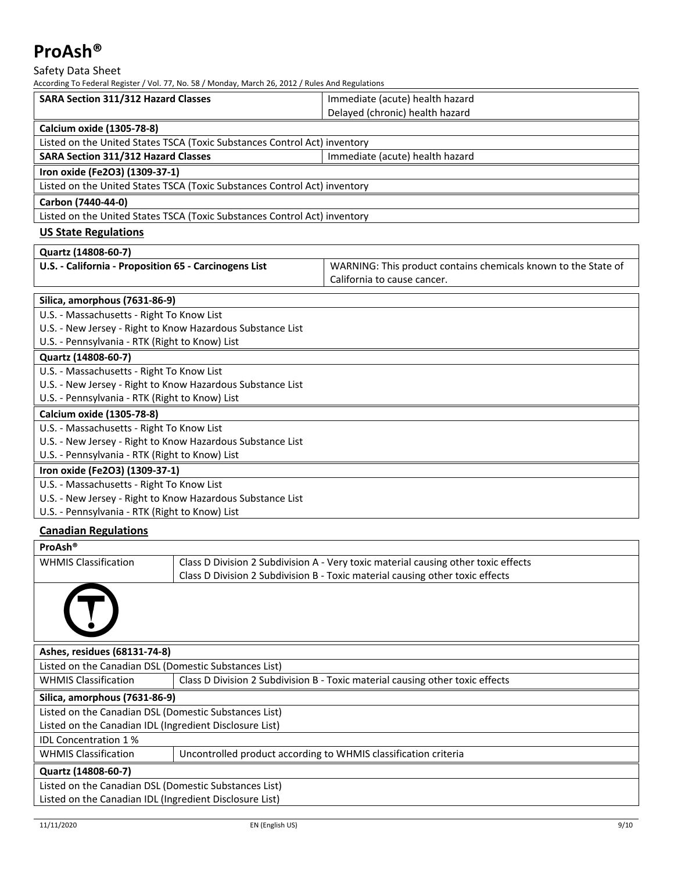Safety Data Sheet

| According To Federal Register / Vol. 77, No. 58 / Monday, March 26, 2012 / Rules And Regulations |                                                                |  |
|--------------------------------------------------------------------------------------------------|----------------------------------------------------------------|--|
| <b>SARA Section 311/312 Hazard Classes</b>                                                       | Immediate (acute) health hazard                                |  |
|                                                                                                  | Delayed (chronic) health hazard                                |  |
| Calcium oxide (1305-78-8)                                                                        |                                                                |  |
| Listed on the United States TSCA (Toxic Substances Control Act) inventory                        |                                                                |  |
| <b>SARA Section 311/312 Hazard Classes</b>                                                       | Immediate (acute) health hazard                                |  |
| Iron oxide (Fe2O3) (1309-37-1)                                                                   |                                                                |  |
| Listed on the United States TSCA (Toxic Substances Control Act) inventory                        |                                                                |  |
| Carbon (7440-44-0)                                                                               |                                                                |  |
| Listed on the United States TSCA (Toxic Substances Control Act) inventory                        |                                                                |  |
| <b>US State Regulations</b>                                                                      |                                                                |  |
| Quartz (14808-60-7)                                                                              |                                                                |  |
| U.S. - California - Proposition 65 - Carcinogens List                                            | WARNING: This product contains chemicals known to the State of |  |
|                                                                                                  | California to cause cancer.                                    |  |
| Silica, amorphous (7631-86-9)                                                                    |                                                                |  |
| U.S. - Massachusetts - Right To Know List                                                        |                                                                |  |
| U.S. - New Jersey - Right to Know Hazardous Substance List                                       |                                                                |  |
| U.S. - Pennsylvania - RTK (Right to Know) List                                                   |                                                                |  |
| Quartz (14808-60-7)                                                                              |                                                                |  |
| U.S. - Massachusetts - Right To Know List                                                        |                                                                |  |
| U.S. - New Jersey - Right to Know Hazardous Substance List                                       |                                                                |  |
| U.S. - Pennsylvania - RTK (Right to Know) List                                                   |                                                                |  |
| <b>Calcium oxide (1305-78-8)</b>                                                                 |                                                                |  |
| U.S. - Massachusetts - Right To Know List                                                        |                                                                |  |
| U.S. - New Jersey - Right to Know Hazardous Substance List                                       |                                                                |  |
| U.S. - Pennsylvania - RTK (Right to Know) List                                                   |                                                                |  |
| Iron oxide (Fe2O3) (1309-37-1)                                                                   |                                                                |  |
| U.S. - Massachusetts - Right To Know List                                                        |                                                                |  |
| U.S. - New Jersey - Right to Know Hazardous Substance List                                       |                                                                |  |
| U.S. - Pennsylvania - RTK (Right to Know) List                                                   |                                                                |  |
| <b>Canadian Regulations</b>                                                                      |                                                                |  |

| ProAsh <sup>®</sup>                                     |                                                                                    |  |  |
|---------------------------------------------------------|------------------------------------------------------------------------------------|--|--|
| <b>WHMIS Classification</b>                             | Class D Division 2 Subdivision A - Very toxic material causing other toxic effects |  |  |
|                                                         | Class D Division 2 Subdivision B - Toxic material causing other toxic effects      |  |  |
|                                                         |                                                                                    |  |  |
| Ashes, residues (68131-74-8)                            |                                                                                    |  |  |
| Listed on the Canadian DSL (Domestic Substances List)   |                                                                                    |  |  |
| <b>WHMIS Classification</b>                             | Class D Division 2 Subdivision B - Toxic material causing other toxic effects      |  |  |
| Silica, amorphous (7631-86-9)                           |                                                                                    |  |  |
| Listed on the Canadian DSL (Domestic Substances List)   |                                                                                    |  |  |
| Listed on the Canadian IDL (Ingredient Disclosure List) |                                                                                    |  |  |
| <b>IDL Concentration 1%</b>                             |                                                                                    |  |  |
| <b>WHMIS Classification</b>                             | Uncontrolled product according to WHMIS classification criteria                    |  |  |
| Quartz (14808-60-7)                                     |                                                                                    |  |  |
| Listed on the Canadian DSL (Domestic Substances List)   |                                                                                    |  |  |
| Listed on the Canadian IDL (Ingredient Disclosure List) |                                                                                    |  |  |